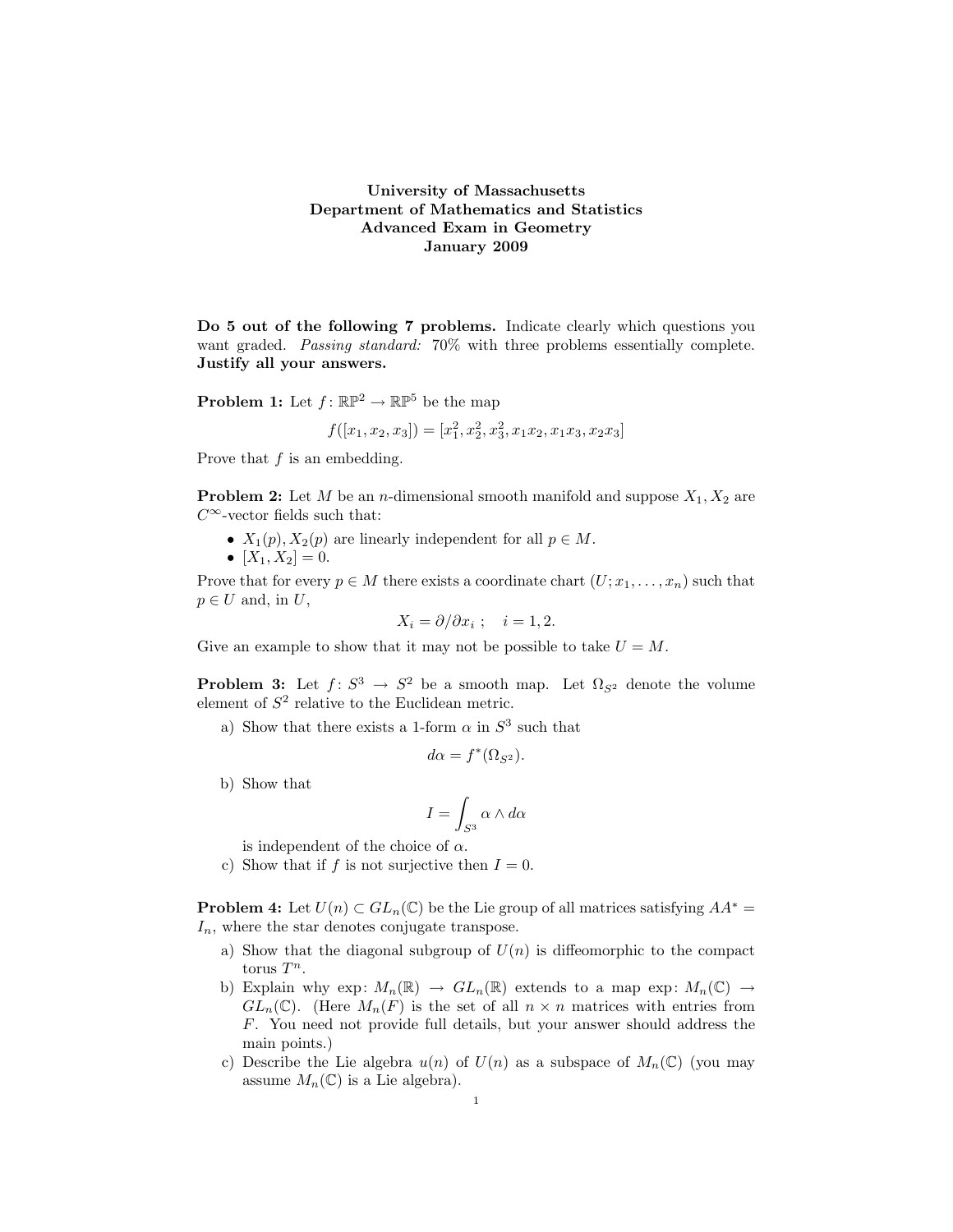## University of Massachusetts Department of Mathematics and Statistics Advanced Exam in Geometry January 2009

Do 5 out of the following 7 problems. Indicate clearly which questions you want graded. Passing standard: 70% with three problems essentially complete. Justify all your answers.

**Problem 1:** Let  $f: \mathbb{RP}^2 \to \mathbb{RP}^5$  be the map

$$
f([x_1, x_2, x_3]) = [x_1^2, x_2^2, x_3^2, x_1x_2, x_1x_3, x_2x_3]
$$

Prove that  $f$  is an embedding.

**Problem 2:** Let M be an *n*-dimensional smooth manifold and suppose  $X_1, X_2$  are  $C^{\infty}$ -vector fields such that:

- $X_1(p), X_2(p)$  are linearly independent for all  $p \in M$ .
- $[X_1, X_2] = 0.$

Prove that for every  $p \in M$  there exists a coordinate chart  $(U; x_1, \ldots, x_n)$  such that  $p \in U$  and, in  $U$ ,

$$
X_i = \partial/\partial x_i \; ; \quad i = 1, 2.
$$

Give an example to show that it may not be possible to take  $U = M$ .

**Problem 3:** Let  $f: S^3 \to S^2$  be a smooth map. Let  $\Omega_{S^2}$  denote the volume element of  $S^2$  relative to the Euclidean metric.

a) Show that there exists a 1-form  $\alpha$  in  $S^3$  such that

$$
d\alpha = f^*(\Omega_{S^2}).
$$

b) Show that

$$
I = \int_{S^3} \alpha \wedge d\alpha
$$

is independent of the choice of  $\alpha$ .

c) Show that if f is not surjective then  $I = 0$ .

**Problem 4:** Let  $U(n) \subset GL_n(\mathbb{C})$  be the Lie group of all matrices satisfying  $AA^* =$  $I_n$ , where the star denotes conjugate transpose.

- a) Show that the diagonal subgroup of  $U(n)$  is diffeomorphic to the compact torus  $T^n$ .
- b) Explain why exp:  $M_n(\mathbb{R}) \to GL_n(\mathbb{R})$  extends to a map exp:  $M_n(\mathbb{C}) \to$  $GL_n(\mathbb{C})$ . (Here  $M_n(F)$  is the set of all  $n \times n$  matrices with entries from F. You need not provide full details, but your answer should address the main points.)
- c) Describe the Lie algebra  $u(n)$  of  $U(n)$  as a subspace of  $M_n(\mathbb{C})$  (you may assume  $M_n(\mathbb{C})$  is a Lie algebra).